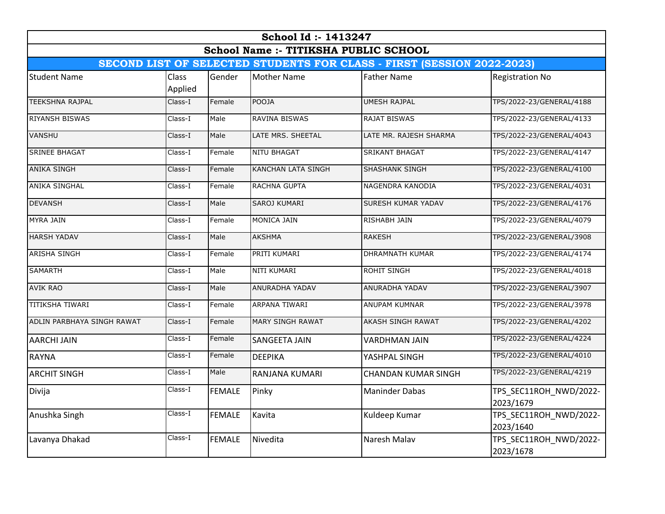| School Id: 1413247<br><b>School Name:- TITIKSHA PUBLIC SCHOOL</b><br>SECOND LIST OF SELECTED STUDENTS FOR CLASS - FIRST (SESSION 2022-2023) |         |               |                           |                            |                                     |  |  |  |                     |         |        |                    |                    |                        |
|---------------------------------------------------------------------------------------------------------------------------------------------|---------|---------------|---------------------------|----------------------------|-------------------------------------|--|--|--|---------------------|---------|--------|--------------------|--------------------|------------------------|
|                                                                                                                                             |         |               |                           |                            |                                     |  |  |  | <b>Student Name</b> | Class   | Gender | <b>Mother Name</b> | <b>Father Name</b> | <b>Registration No</b> |
|                                                                                                                                             |         |               |                           |                            |                                     |  |  |  |                     | Applied |        |                    |                    |                        |
| <b>TEEKSHNA RAJPAL</b>                                                                                                                      | Class-I | Female        | <b>POOJA</b>              | <b>UMESH RAJPAL</b>        | TPS/2022-23/GENERAL/4188            |  |  |  |                     |         |        |                    |                    |                        |
| <b>RIYANSH BISWAS</b>                                                                                                                       | Class-I | Male          | <b>RAVINA BISWAS</b>      | <b>RAJAT BISWAS</b>        | TPS/2022-23/GENERAL/4133            |  |  |  |                     |         |        |                    |                    |                        |
| <b>VANSHU</b>                                                                                                                               | Class-I | Male          | LATE MRS. SHEETAL         | LATE MR. RAJESH SHARMA     | TPS/2022-23/GENERAL/4043            |  |  |  |                     |         |        |                    |                    |                        |
| <b>SRINEE BHAGAT</b>                                                                                                                        | Class-I | Female        | <b>NITU BHAGAT</b>        | <b>SRIKANT BHAGAT</b>      | TPS/2022-23/GENERAL/4147            |  |  |  |                     |         |        |                    |                    |                        |
| <b>ANIKA SINGH</b>                                                                                                                          | Class-I | Female        | <b>KANCHAN LATA SINGH</b> | <b>SHASHANK SINGH</b>      | TPS/2022-23/GENERAL/4100            |  |  |  |                     |         |        |                    |                    |                        |
| <b>ANIKA SINGHAL</b>                                                                                                                        | Class-I | Female        | RACHNA GUPTA              | NAGENDRA KANODIA           | TPS/2022-23/GENERAL/4031            |  |  |  |                     |         |        |                    |                    |                        |
| <b>DEVANSH</b>                                                                                                                              | Class-I | Male          | <b>SAROJ KUMARI</b>       | SURESH KUMAR YADAV         | TPS/2022-23/GENERAL/4176            |  |  |  |                     |         |        |                    |                    |                        |
| <b>MYRA JAIN</b>                                                                                                                            | Class-I | Female        | MONICA JAIN               | <b>RISHABH JAIN</b>        | TPS/2022-23/GENERAL/4079            |  |  |  |                     |         |        |                    |                    |                        |
| <b>HARSH YADAV</b>                                                                                                                          | Class-I | Male          | <b>AKSHMA</b>             | <b>RAKESH</b>              | TPS/2022-23/GENERAL/3908            |  |  |  |                     |         |        |                    |                    |                        |
| <b>ARISHA SINGH</b>                                                                                                                         | Class-I | Female        | PRITI KUMARI              | <b>DHRAMNATH KUMAR</b>     | TPS/2022-23/GENERAL/4174            |  |  |  |                     |         |        |                    |                    |                        |
| <b>SAMARTH</b>                                                                                                                              | Class-I | Male          | <b>NITI KUMARI</b>        | <b>ROHIT SINGH</b>         | TPS/2022-23/GENERAL/4018            |  |  |  |                     |         |        |                    |                    |                        |
| <b>AVIK RAO</b>                                                                                                                             | Class-I | Male          | ANURADHA YADAV            | ANURADHA YADAV             | TPS/2022-23/GENERAL/3907            |  |  |  |                     |         |        |                    |                    |                        |
| <b>TITIKSHA TIWARI</b>                                                                                                                      | Class-I | Female        | ARPANA TIWARI             | <b>ANUPAM KUMNAR</b>       | TPS/2022-23/GENERAL/3978            |  |  |  |                     |         |        |                    |                    |                        |
| ADLIN PARBHAYA SINGH RAWAT                                                                                                                  | Class-I | Female        | MARY SINGH RAWAT          | <b>AKASH SINGH RAWAT</b>   | TPS/2022-23/GENERAL/4202            |  |  |  |                     |         |        |                    |                    |                        |
| <b>AARCHI JAIN</b>                                                                                                                          | Class-I | Female        | <b>SANGEETA JAIN</b>      | <b>VARDHMAN JAIN</b>       | TPS/2022-23/GENERAL/4224            |  |  |  |                     |         |        |                    |                    |                        |
| <b>RAYNA</b>                                                                                                                                | Class-I | Female        | <b>DEEPIKA</b>            | YASHPAL SINGH              | TPS/2022-23/GENERAL/4010            |  |  |  |                     |         |        |                    |                    |                        |
| <b>ARCHIT SINGH</b>                                                                                                                         | Class-I | Male          | RANJANA KUMARI            | <b>CHANDAN KUMAR SINGH</b> | TPS/2022-23/GENERAL/4219            |  |  |  |                     |         |        |                    |                    |                        |
| Divija                                                                                                                                      | Class-I | <b>FEMALE</b> | Pinky                     | <b>Maninder Dabas</b>      | TPS SEC11ROH NWD/2022-<br>2023/1679 |  |  |  |                     |         |        |                    |                    |                        |
| Anushka Singh                                                                                                                               | Class-I | <b>FEMALE</b> | Kavita                    | Kuldeep Kumar              | TPS_SEC11ROH_NWD/2022-<br>2023/1640 |  |  |  |                     |         |        |                    |                    |                        |
| Lavanya Dhakad                                                                                                                              | Class-I | <b>FEMALE</b> | Nivedita                  | Naresh Malav               | TPS_SEC11ROH_NWD/2022-<br>2023/1678 |  |  |  |                     |         |        |                    |                    |                        |